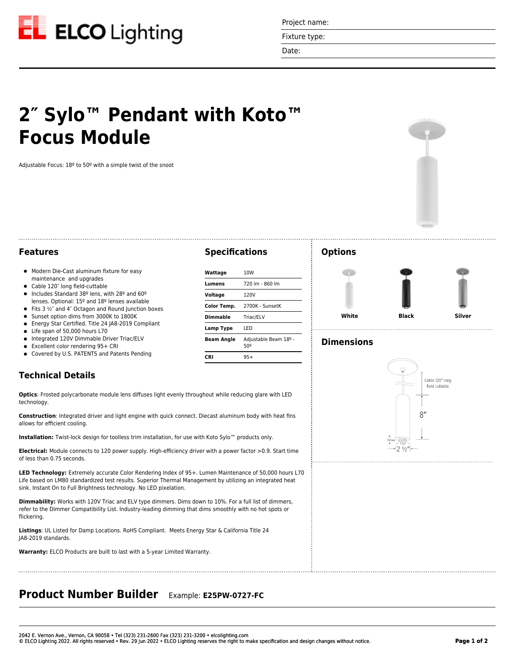

Project name:

Fixture type:

Date:

**Specifications**

**Lumens** 720 lm - 860 lm **Voltage** 120V

**Color Temp.** 2700K - SunsetK **Dimmable** Triac/ELV **Lamp Type** LED

**Beam Angle** Adjustable Beam 18º - 50º

**Wattage** 10W

**CRI** 95+

# **2″ Sylo™ Pendant with Koto™ Focus Module**

Adjustable Focus: 18º to 50º with a simple twist of the snoot



### **Features**

- $\bullet$  Modern Die-Cast aluminum fixture for easy maintenance and upgrades
- Cable 120" long field-cuttable
- Includes Standard 38<sup>°</sup> lens, with 28<sup>°</sup> and 60<sup>°</sup> lenses. Optional: 15º and 18º lenses available
- $\bullet$  Fits 3  $\frac{1}{2}$ " and 4" Octagon and Round Junction boxes
- Sunset option dims from 3000K to 1800K
- Energy Star Certified. Title 24 JA8-2019 Compliant  $\bullet$
- $\bullet$ Life span of 50,000 hours L70
- Integrated 120V Dimmable Driver Triac/ELV  $\bullet$
- Excellent color rendering 95+ CRI
- Covered by U.S. PATENTS and Patents Pending

## **Technical Details**

**Optics**: Frosted polycarbonate module lens diffuses light evenly throughout while reducing glare with LED technology.

**Construction**: Integrated driver and light engine with quick connect. Diecast aluminum body with heat fins allows for efficient cooling.

**Installation:** Twist-lock design for toolless trim installation, for use with Koto Sylo™ products only.

**Electrical:** Module connects to 120 power supply. High-efficiency driver with a power factor >0.9. Start time of less than 0.75 seconds.

**LED Technology:** Extremely accurate Color Rendering Index of 95+. Lumen Maintenance of 50,000 hours L70 Life based on LM80 standardized test results. Superior Thermal Management by utilizing an integrated heat sink. Instant On to Full Brightness technology. No LED pixelation.

**Dimmability:** Works with 120V Triac and ELV type dimmers. Dims down to 10%. For a full list of dimmers, refer to the Dimmer Compatibility List. Industry-leading dimming that dims smoothly with no hot spots or flickering.

**Listings**: UL Listed for Damp Locations. RoHS Compliant. Meets Energy Star & California Title 24 JA8-2019 standards.

**Warranty:** ELCO Products are built to last with a 5-year Limited Warranty.

# **Product Number Builder** Example: **E25PW-0727-FC**

#### **Options**



## **Dimensions**